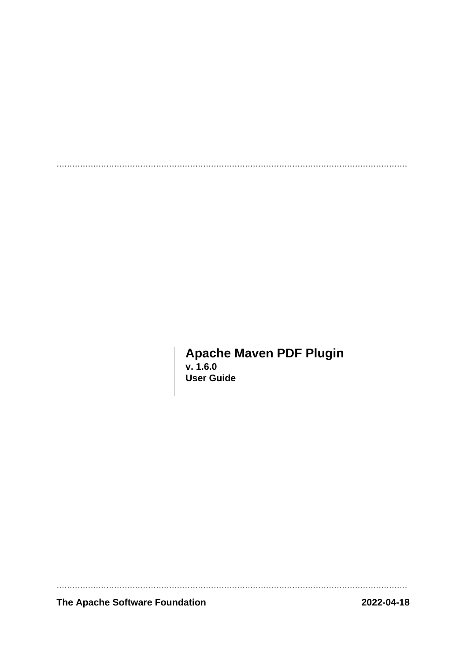**Apache Maven PDF Plugin<br>v. 1.6.0<br>User Guide** 

The Apache Software Foundation

2022-04-18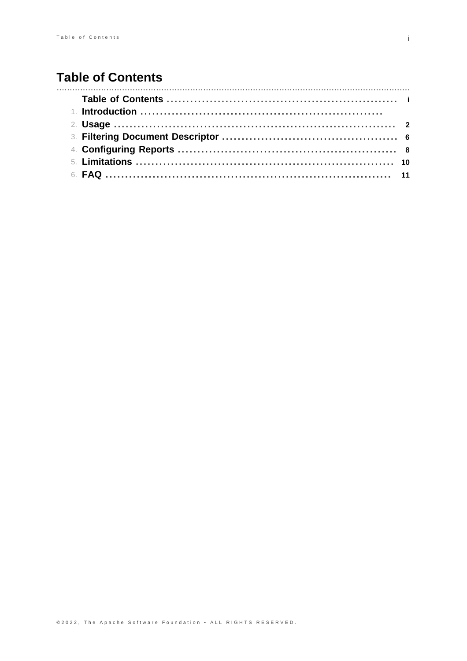# <span id="page-2-0"></span>**Table of Contents**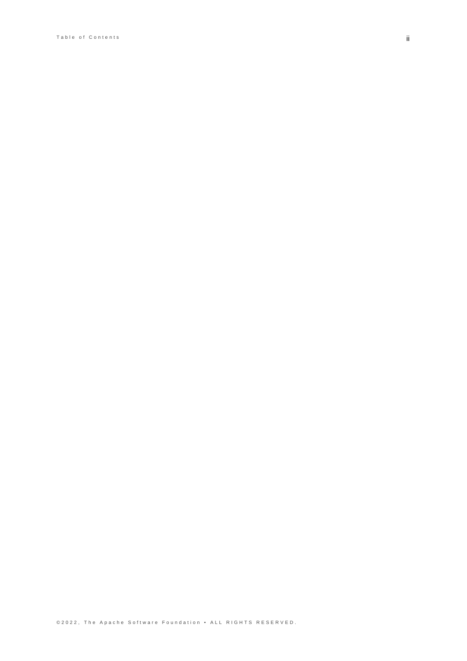Table of Contents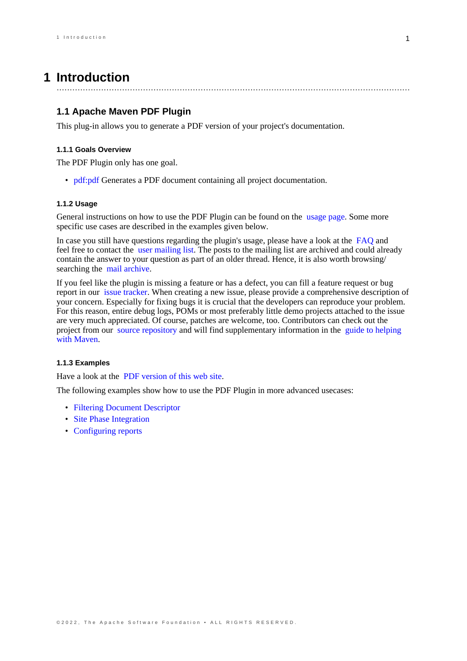# **1 Introduction**

.......................................................................................................................................

# **1.1 Apache Maven PDF Plugin**

This plug-in allows you to generate a PDF version of your project's documentation.

### **1.1.1 Goals Overview**

The PDF Plugin only has one goal.

• pdf:pdf Generates a PDF document containing all project documentation.

### **1.1.2 Usage**

General instructions on how to use the PDF Plugin can be found on the usage page. Some more specific use cases are described in the examples given below.

In case you still have questions regarding the plugin's usage, please have a look at the [FAQ](#page-14-0) and feel free to contact the user mailing list. The posts to the mailing list are archived and could already contain the answer to your question as part of an older thread. Hence, it is also worth browsing/ searching the mail archive.

If you feel like the plugin is missing a feature or has a defect, you can fill a feature request or bug report in our issue tracker. When creating a new issue, please provide a comprehensive description of your concern. Especially for fixing bugs it is crucial that the developers can reproduce your problem. For this reason, entire debug logs, POMs or most preferably little demo projects attached to the issue are very much appreciated. Of course, patches are welcome, too. Contributors can check out the project from our source repository and will find supplementary information in the guide to helping with Maven.

### **1.1.3 Examples**

Have a look at the PDF version of this web site.

The following examples show how to use the PDF Plugin in more advanced usecases:

- [Filtering Document Descriptor](#page-9-0)
- Site Phase Integration
- Configuring reports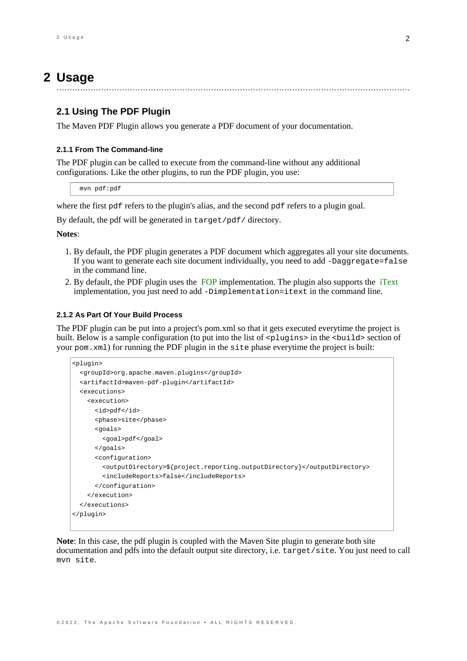# **2 Usage**

<span id="page-5-0"></span>.......................................................................................................................................

# **2.1 Using The PDF Plugin**

The Maven PDF Plugin allows you generate a PDF document of your documentation.

### **2.1.1 From The Command-line**

The PDF plugin can be called to execute from the command-line without any additional configurations. Like the other plugins, to run the PDF plugin, you use:

```
 mvn pdf:pdf
```
where the first pdf refers to the plugin's alias, and the second pdf refers to a plugin goal.

By default, the pdf will be generated in target/pdf/ directory.

## **Notes**:

- 1. By default, the PDF plugin generates a PDF document which aggregates all your site documents. If you want to generate each site document individually, you need to add -Daggregate=false in the command line.
- 2. By default, the PDF plugin uses the [FOP](http://xmlgraphics.apache.org/fop/) implementation. The plugin also supports the [iText](http://www.lowagie.com/iText/) implementation, you just need to add -Dimplementation=itext in the command line.

### **2.1.2 As Part Of Your Build Process**

The PDF plugin can be put into a project's pom.xml so that it gets executed everytime the project is built. Below is a sample configuration (to put into the list of  $\langle$ plugins> in the  $\langle$ build> section of your pom.xml) for running the PDF plugin in the site phase everytime the project is built:

```
<plugin>
   <groupId>org.apache.maven.plugins</groupId>
   <artifactId>maven-pdf-plugin</artifactId>
   <executions>
     <execution>
       <id>pdf</id>
       <phase>site</phase>
       <goals>
         <goal>pdf</goal>
       </goals>
       <configuration>
         <outputDirectory>${project.reporting.outputDirectory}</outputDirectory>
         <includeReports>false</includeReports>
       </configuration>
     </execution>
   </executions>
</plugin>
```
**Note**: In this case, the pdf plugin is coupled with the Maven Site plugin to generate both site documentation and pdfs into the default output site directory, i.e. target/site. You just need to call mvn site.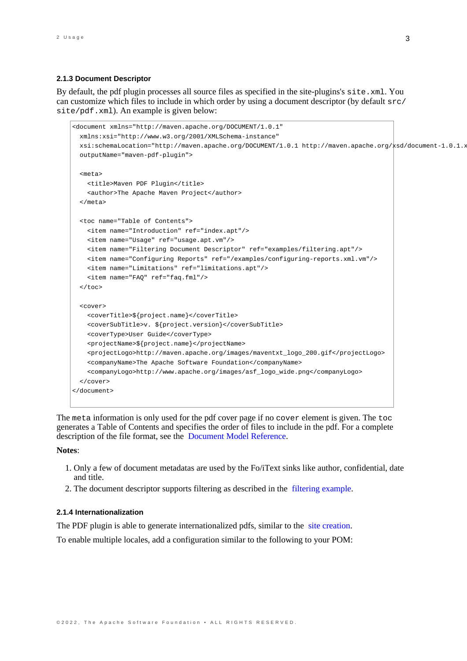### **2.1.3 Document Descriptor**

By default, the pdf plugin processes all source files as specified in the site-plugins's site.xml. You can customize which files to include in which order by using a document descriptor (by default src/ site/pdf.xml). An example is given below:

```
<document xmlns="http://maven.apache.org/DOCUMENT/1.0.1"
  xmlns:xsi="http://www.w3.org/2001/XMLSchema-instance"
  xsi:schemaLocation="http://maven.apache.org/DOCUMENT/1.0.1 http://maven.apache.org/xsd/document-1.0.1.xsd"
  outputName="maven-pdf-plugin">
  <meta>
    <title>Maven PDF Plugin</title>
    <author>The Apache Maven Project</author>
  </meta>
  <toc name="Table of Contents">
    <item name="Introduction" ref="index.apt"/>
    <item name="Usage" ref="usage.apt.vm"/>
    <item name="Filtering Document Descriptor" ref="examples/filtering.apt"/>
    <item name="Configuring Reports" ref="/examples/configuring-reports.xml.vm"/>
    <item name="Limitations" ref="limitations.apt"/>
    <item name="FAQ" ref="faq.fml"/>
 \langle /tog>
  <cover>
    <coverTitle>${project.name}</coverTitle>
    <coverSubTitle>v. ${project.version}</coverSubTitle>
     <coverType>User Guide</coverType>
    <projectName>${project.name}</projectName>
    <projectLogo>http://maven.apache.org/images/maventxt_logo_200.gif</projectLogo>
    <companyName>The Apache Software Foundation</companyName>
    <companyLogo>http://www.apache.org/images/asf_logo_wide.png</companyLogo>
  </cover>
</document>
```
The meta information is only used for the pdf cover page if no cover element is given. The toc generates a Table of Contents and specifies the order of files to include in the pdf. For a complete description of the file format, see the Document Model Reference.

### **Notes**:

- 1. Only a few of document metadatas are used by the Fo/iText sinks like author, confidential, date and title.
- 2. The document descriptor supports filtering as described in the [filtering example](#page-9-0).

### **2.1.4 Internationalization**

The PDF plugin is able to generate internationalized pdfs, similar to the site creation.

To enable multiple locales, add a configuration similar to the following to your POM: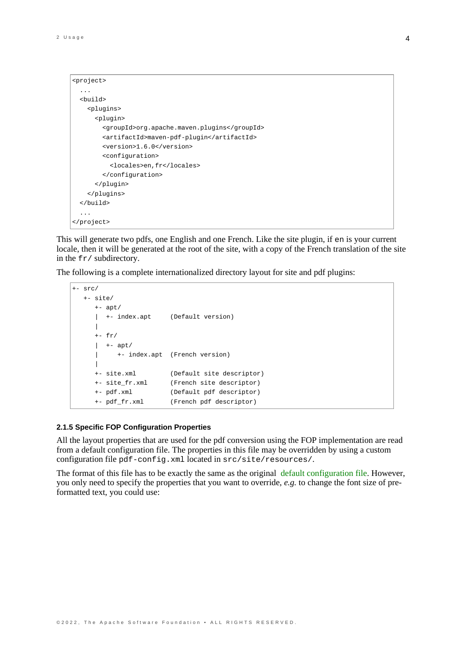```
<project>
   ...
   <build>
     <plugins>
       <plugin>
         <groupId>org.apache.maven.plugins</groupId>
         <artifactId>maven-pdf-plugin</artifactId>
         <version>1.6.0</version>
         <configuration>
           <locales>en,fr</locales>
         </configuration>
       </plugin>
     </plugins>
   </build>
   ...
</project>
```
This will generate two pdfs, one English and one French. Like the site plugin, if en is your current locale, then it will be generated at the root of the site, with a copy of the French translation of the site in the fr/ subdirectory.

The following is a complete internationalized directory layout for site and pdf plugins:

```
+- src/
   +- site/
      +- apt/
      | +- index.apt (Default version)
      |
     +- fr/
      | +- apt/
      | +- index.apt (French version)
     \overline{\phantom{a}} +- site.xml (Default site descriptor)
      +- site_fr.xml (French site descriptor)
      +- pdf.xml (Default pdf descriptor)
      +- pdf_fr.xml (French pdf descriptor)
```
### **2.1.5 Specific FOP Configuration Properties**

All the layout properties that are used for the pdf conversion using the FOP implementation are read from a default configuration file. The properties in this file may be overridden by using a custom configuration file pdf-config.xml located in src/site/resources/.

The format of this file has to be exactly the same as the original [default configuration file.](https://github.com/apache/maven-doxia/blob/master/doxia-modules/doxia-module-fo/src/main/resources/fo-styles.xslt) However, you only need to specify the properties that you want to override, *e.g.* to change the font size of preformatted text, you could use: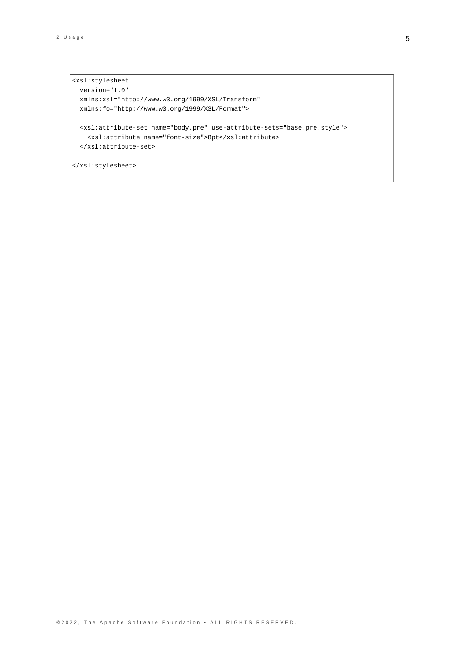```
<xsl:stylesheet
 version="1.0"
 xmlns:xsl="http://www.w3.org/1999/XSL/Transform"
 xmlns:fo="http://www.w3.org/1999/XSL/Format">
 <xsl:attribute-set name="body.pre" use-attribute-sets="base.pre.style">
    <xsl:attribute name="font-size">8pt</xsl:attribute>
  </xsl:attribute-set>
\left\langle \mathrm{xsl}\text{:style}\right\rangle
```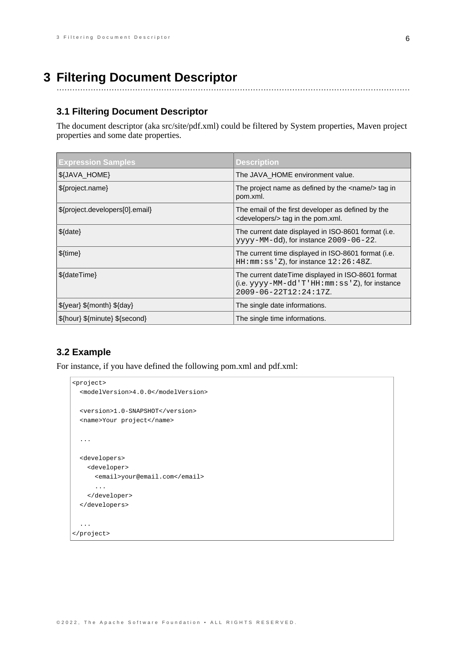# **3 Filtering Document Descriptor**

# <span id="page-9-0"></span>.......................................................................................................................................

# **3.1 Filtering Document Descriptor**

The document descriptor (aka src/site/pdf.xml) could be filtered by System properties, Maven project properties and some date properties.

| <b>Expression Samples</b>       | <b>Description</b>                                                                                                                   |
|---------------------------------|--------------------------------------------------------------------------------------------------------------------------------------|
| \${JAVA_HOME}                   | The JAVA_HOME environment value.                                                                                                     |
| \${project.name}                | The project name as defined by the $\alpha$ ame/ $\alpha$ tag in<br>pom.xml.                                                         |
| \${project.developers[0].email} | The email of the first developer as defined by the<br><developers></developers> tag in the pom.xml.                                  |
| $${date}$                       | The current date displayed in ISO-8601 format (i.e.<br>$yyyy-MM-dd$ , for instance $2009-06-22$ .                                    |
| $${time}$                       | The current time displayed in ISO-8601 format (i.e.<br>$HH:mm:ss'Z$ , for instance $12:26:48Z$ .                                     |
| \${dateTime}                    | The current date Time displayed in ISO-8601 format<br>(i.e. $yyyy-MM-dd' T'HH:mm:ss'Z$ ), for instance<br>$2009 - 06 - 22T12:24:17Z$ |
| \${year} \${month} \${day}      | The single date informations.                                                                                                        |
| \${hour} \${minute} \${second}  | The single time informations.                                                                                                        |

# **3.2 Example**

For instance, if you have defined the following pom.xml and pdf.xml:

```
<project>
   <modelVersion>4.0.0</modelVersion>
  <version>1.0-SNAPSHOT</version>
   <name>Your project</name>
   ...
  <developers>
    <developer>
      <email>your@email.com</email>
       ...
    </developer>
   </developers>
   ...
</project>
```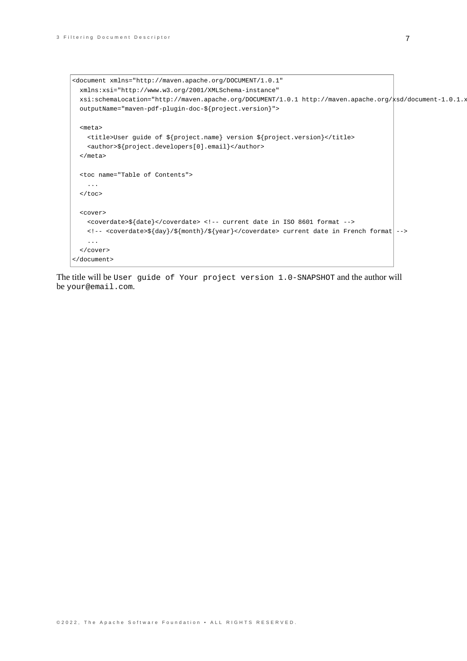</document>

```
<document xmlns="http://maven.apache.org/DOCUMENT/1.0.1"
  xmlns:xsi="http://www.w3.org/2001/XMLSchema-instance"
  xsi:schemaLocation="http://maven.apache.org/DOCUMENT/1.0.1 http://maven.apache.org/xsd/document-1.0.1.xsd"
  outputName="maven-pdf-plugin-doc-${project.version}">
  <meta>
    <title>User guide of ${project.name} version ${project.version}</title>
    <author>${project.developers[0].email}</author>
   </meta>
   <toc name="Table of Contents">
     ...
 \langletoc>
  <cover>
    <coverdate>${date}</coverdate> <!-- current date in ISO 8601 format -->
     <!-- <coverdate>${day}/${month}/${year}</coverdate> current date in French format -->
     ...
  </cover>
```
The title will be User guide of Your project version 1.0-SNAPSHOT and the author will be your@email.com.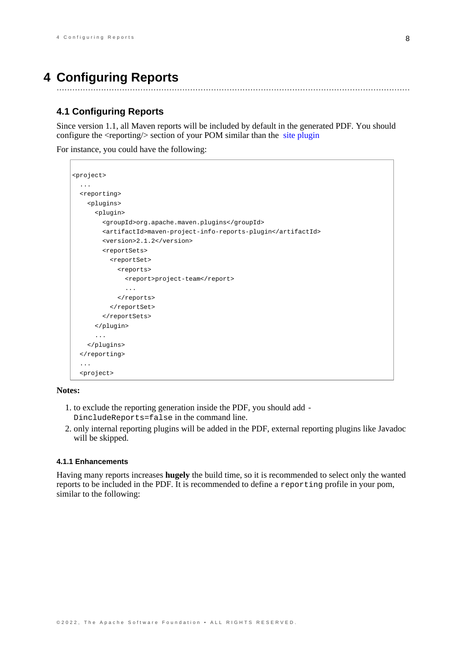# <span id="page-11-0"></span>**4 Configuring Reports**

# **4.1 Configuring Reports**

Since version 1.1, all Maven reports will be included by default in the generated PDF. You should configure the <reporting/> section of your POM similar than the site plugin

.......................................................................................................................................

For instance, you could have the following:

```
<project>
   ...
  <reporting>
    <plugins>
       <plugin>
         <groupId>org.apache.maven.plugins</groupId>
         <artifactId>maven-project-info-reports-plugin</artifactId>
         <version>2.1.2</version>
         <reportSets>
           <reportSet>
             <reports>
                <report>project-team</report>
                ...
             </reports>
           </reportSet>
         </reportSets>
       </plugin>
       ...
     </plugins>
   </reporting>
   ...
   <project>
```
## **Notes:**

- 1. to exclude the reporting generation inside the PDF, you should add DincludeReports=false in the command line.
- 2. only internal reporting plugins will be added in the PDF, external reporting plugins like Javadoc will be skipped.

# **4.1.1 Enhancements**

Having many reports increases **hugely** the build time, so it is recommended to select only the wanted reports to be included in the PDF. It is recommended to define a reporting profile in your pom, similar to the following: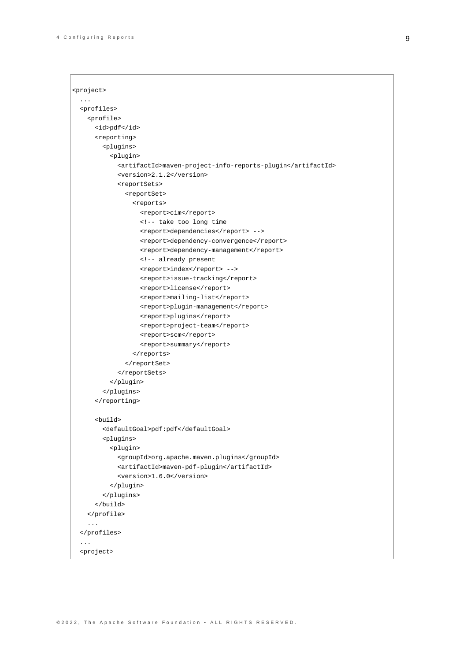```
<project>
  ...
   <profiles>
     <profile>
       <id>pdf</id>
       <reporting>
         <plugins>
           <plugin>
             <artifactId>maven-project-info-reports-plugin</artifactId>
             <version>2.1.2</version>
             <reportSets>
               <reportSet>
                 <reports>
                   <report>cim</report>
                    <!-- take too long time
                    <report>dependencies</report> -->
                    <report>dependency-convergence</report>
                    <report>dependency-management</report>
                    <!-- already present
                   <report>index</report> -->
                    <report>issue-tracking</report>
                    <report>license</report>
                    <report>mailing-list</report>
                    <report>plugin-management</report>
                    <report>plugins</report>
                    <report>project-team</report>
                   <report>scm</report>
                    <report>summary</report>
                  </reports>
               </reportSet>
             </reportSets>
           </plugin>
         </plugins>
       </reporting>
       <build>
         <defaultGoal>pdf:pdf</defaultGoal>
         <plugins>
           <plugin>
             <groupId>org.apache.maven.plugins</groupId>
             <artifactId>maven-pdf-plugin</artifactId>
             <version>1.6.0</version>
           </plugin>
         </plugins>
       </build>
     </profile>
     ...
   </profiles>
   ...
   <project>
```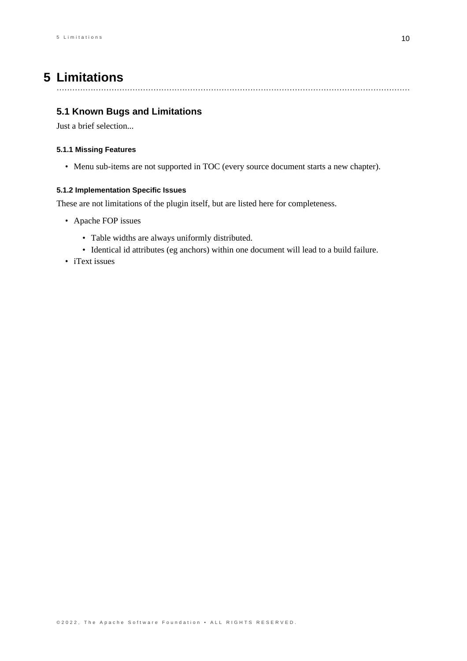# **5 Limitations**

<span id="page-13-0"></span>.......................................................................................................................................

# **5.1 Known Bugs and Limitations**

Just a brief selection...

## **5.1.1 Missing Features**

• Menu sub-items are not supported in TOC (every source document starts a new chapter).

## **5.1.2 Implementation Specific Issues**

These are not limitations of the plugin itself, but are listed here for completeness.

- Apache FOP issues
	- Table widths are always uniformly distributed.
	- Identical id attributes (eg anchors) within one document will lead to a build failure.
- iText issues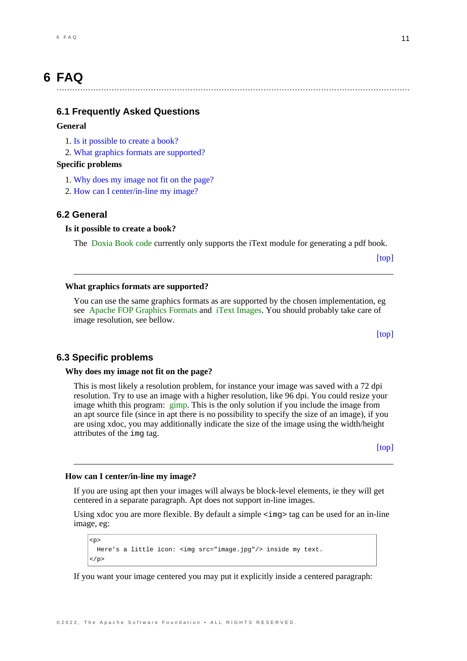<span id="page-14-0"></span>.......................................................................................................................................

## <span id="page-14-5"></span>**6.1 Frequently Asked Questions**

### **General**

- 1. [Is it possible to create a book?](#page-14-1)
- 2. [What graphics formats are supported?](#page-14-2)

### **Specific problems**

- 1. [Why does my image not fit on the page?](#page-14-3)
- 2. [How can I center/in-line my image?](#page-14-4)

# **6.2 General**

### <span id="page-14-1"></span>**Is it possible to create a book?**

The [Doxia Book code](http://svn.apache.org/repos/asf/maven/doxia/doxia/trunk/doxia-book/) currently only supports the iText module for generating a pdf book.

[\[top\]](#page-14-5)

### <span id="page-14-2"></span>**What graphics formats are supported?**

You can use the same graphics formats as are supported by the chosen implementation, eg see [Apache FOP Graphics Formats](http://xmlgraphics.apache.org/fop/0.94/graphics.html) and [iText Images](http://itextdocs.lowagie.com/tutorial/objects/images/index.php). You should probably take care of image resolution, see bellow.

[\[top\]](#page-14-5)

# **6.3 Specific problems**

### <span id="page-14-3"></span>**Why does my image not fit on the page?**

This is most likely a resolution problem, for instance your image was saved with a 72 dpi resolution. Try to use an image with a higher resolution, like 96 dpi. You could resize your image whith this program: [gimp.](http://www.gimp.org/) This is the only solution if you include the image from an apt source file (since in apt there is no possibility to specify the size of an image), if you are using xdoc, you may additionally indicate the size of the image using the width/height attributes of the img tag.

[\[top\]](#page-14-5)

### <span id="page-14-4"></span>**How can I center/in-line my image?**

If you are using apt then your images will always be block-level elements, ie they will get centered in a separate paragraph. Apt does not support in-line images.

Using xdoc you are more flexible. By default a simple  $\langle \text{img} \rangle$  tag can be used for an in-line image, eg:

<p> Here's a little icon: <img src="image.jpg"/> inside my text.  $\langle$ /p>

If you want your image centered you may put it explicitly inside a centered paragraph: